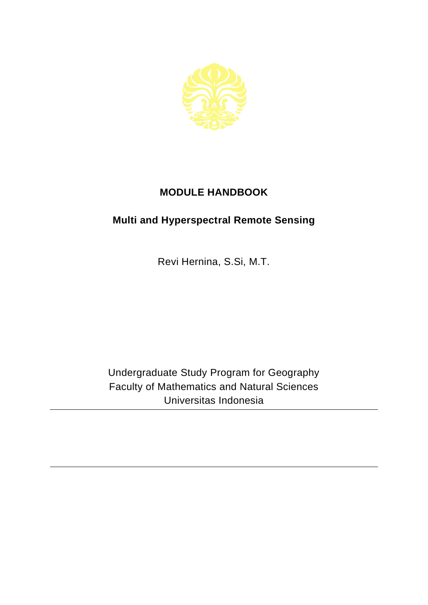

## **MODULE HANDBOOK**

## **Multi and Hyperspectral Remote Sensing**

Revi Hernina, S.Si, M.T.

Undergraduate Study Program for Geography Faculty of Mathematics and Natural Sciences Universitas Indonesia